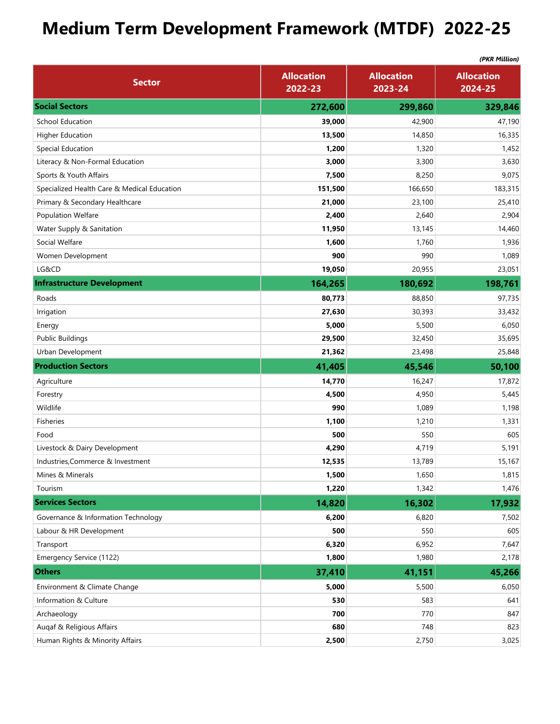## **Medium Term Development Framework (MTDF) 2022-25**

|                                             | (PKR Million)                |                              |                              |
|---------------------------------------------|------------------------------|------------------------------|------------------------------|
| <b>Sector</b>                               | <b>Allocation</b><br>2022-23 | <b>Allocation</b><br>2023-24 | <b>Allocation</b><br>2024-25 |
| <b>Social Sectors</b>                       | 272,600                      | 299,860                      | 329,846                      |
| <b>School Education</b>                     | 39,000                       | 42,900                       | 47,190                       |
| <b>Higher Education</b>                     | 13,500                       | 14,850                       | 16,335                       |
| Special Education                           | 1,200                        | 1,320                        | 1,452                        |
| Literacy & Non-Formal Education             | 3,000                        | 3,300                        | 3,630                        |
| Sports & Youth Affairs                      | 7,500                        | 8,250                        | 9,075                        |
| Specialized Health Care & Medical Education | 151,500                      | 166,650                      | 183,315                      |
| Primary & Secondary Healthcare              | 21,000                       | 23,100                       | 25,410                       |
| Population Welfare                          | 2,400                        | 2,640                        | 2,904                        |
| Water Supply & Sanitation                   | 11,950                       | 13,145                       | 14,460                       |
| Social Welfare                              | 1,600                        | 1,760                        | 1,936                        |
| Women Development                           | 900                          | 990                          | 1,089                        |
| LG&CD                                       | 19,050                       | 20,955                       | 23,051                       |
| <b>Infrastructure Development</b>           | 164,265                      | 180,692                      | 198,761                      |
| Roads                                       | 80,773                       | 88,850                       | 97,735                       |
| Irrigation                                  | 27,630                       | 30,393                       | 33,432                       |
| Energy                                      | 5,000                        | 5,500                        | 6,050                        |
| <b>Public Buildings</b>                     | 29,500                       | 32,450                       | 35,695                       |
| Urban Development                           | 21,362                       | 23,498                       | 25,848                       |
| <b>Production Sectors</b>                   | 41,405                       | 45,546                       | 50,100                       |
| Agriculture                                 | 14,770                       | 16,247                       | 17,872                       |
| Forestry                                    | 4,500                        | 4,950                        | 5,445                        |
| Wildlife                                    | 990                          | 1,089                        | 1,198                        |
| <b>Fisheries</b>                            | 1,100                        | 1,210                        | 1,331                        |
| Food                                        | 500                          | 550                          | 605                          |
| Livestock & Dairy Development               | 4,290                        | 4,719                        | 5,191                        |
| Industries, Commerce & Investment           | 12,535                       | 13,789                       | 15,167                       |
| Mines & Minerals                            | 1,500                        | 1,650                        | 1,815                        |
| Tourism                                     | 1,220                        | 1,342                        | 1,476                        |
| <b>Services Sectors</b>                     | 14,820                       | 16,302                       | 17,932                       |
| Governance & Information Technology         | 6,200                        | 6,820                        | 7,502                        |
| Labour & HR Development                     | 500                          | 550                          | 605                          |
| Transport                                   | 6,320                        | 6,952                        | 7,647                        |
| Emergency Service (1122)                    | 1,800                        | 1,980                        | 2,178                        |
| <b>Others</b>                               | 37,410                       | 41,151                       | 45,266                       |
| Environment & Climate Change                | 5,000                        | 5,500                        | 6,050                        |
| Information & Culture                       | 530                          | 583                          | 641                          |
| Archaeology                                 | 700                          | 770                          | 847                          |
| Augaf & Religious Affairs                   | 680                          | 748                          | 823                          |
|                                             |                              |                              |                              |